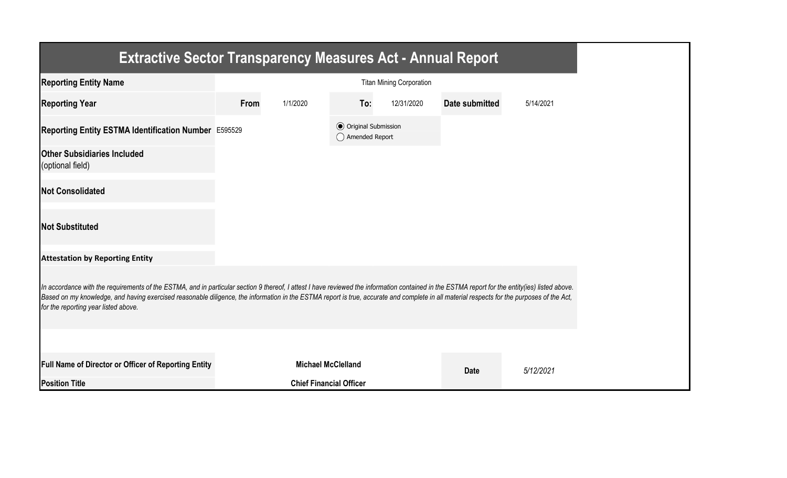| <b>Extractive Sector Transparency Measures Act - Annual Report</b>                                                                                                                                                                                                                                                                                                                                                                    |      |                                |                                                  |                                 |                       |           |
|---------------------------------------------------------------------------------------------------------------------------------------------------------------------------------------------------------------------------------------------------------------------------------------------------------------------------------------------------------------------------------------------------------------------------------------|------|--------------------------------|--------------------------------------------------|---------------------------------|-----------------------|-----------|
| <b>Reporting Entity Name</b>                                                                                                                                                                                                                                                                                                                                                                                                          |      |                                |                                                  | <b>Titan Mining Corporation</b> |                       |           |
| <b>Reporting Year</b>                                                                                                                                                                                                                                                                                                                                                                                                                 | From | 1/1/2020                       | To:                                              | 12/31/2020                      | <b>Date submitted</b> | 5/14/2021 |
| Reporting Entity ESTMA Identification Number E595529                                                                                                                                                                                                                                                                                                                                                                                  |      |                                | <b>◎</b> Original Submission<br>◯ Amended Report |                                 |                       |           |
| <b>Other Subsidiaries Included</b><br>(optional field)                                                                                                                                                                                                                                                                                                                                                                                |      |                                |                                                  |                                 |                       |           |
| <b>Not Consolidated</b>                                                                                                                                                                                                                                                                                                                                                                                                               |      |                                |                                                  |                                 |                       |           |
| <b>Not Substituted</b>                                                                                                                                                                                                                                                                                                                                                                                                                |      |                                |                                                  |                                 |                       |           |
| <b>Attestation by Reporting Entity</b>                                                                                                                                                                                                                                                                                                                                                                                                |      |                                |                                                  |                                 |                       |           |
| In accordance with the requirements of the ESTMA, and in particular section 9 thereof, I attest I have reviewed the information contained in the ESTMA report for the entity(ies) listed above.<br>Based on my knowledge, and having exercised reasonable diligence, the information in the ESTMA report is true, accurate and complete in all material respects for the purposes of the Act,<br>for the reporting year listed above. |      |                                |                                                  |                                 |                       |           |
|                                                                                                                                                                                                                                                                                                                                                                                                                                       |      |                                |                                                  |                                 |                       |           |
| <b>Full Name of Director or Officer of Reporting Entity</b>                                                                                                                                                                                                                                                                                                                                                                           |      | <b>Michael McClelland</b>      |                                                  |                                 | <b>Date</b>           | 5/12/2021 |
| <b>Position Title</b>                                                                                                                                                                                                                                                                                                                                                                                                                 |      | <b>Chief Financial Officer</b> |                                                  |                                 |                       |           |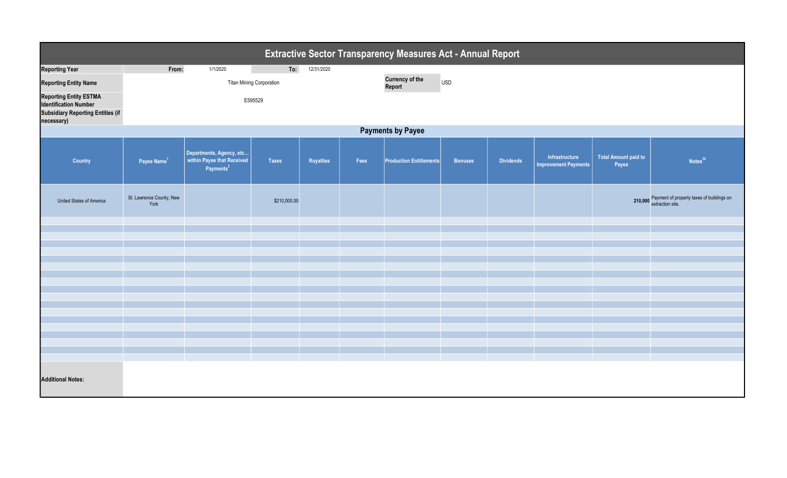| <b>Extractive Sector Transparency Measures Act - Annual Report</b> |                                  |                                                                                 |                                                |            |      |                                |                |                  |                                               |                                      |                                                                       |  |
|--------------------------------------------------------------------|----------------------------------|---------------------------------------------------------------------------------|------------------------------------------------|------------|------|--------------------------------|----------------|------------------|-----------------------------------------------|--------------------------------------|-----------------------------------------------------------------------|--|
| <b>Reporting Year</b>                                              | From:                            | 1/1/2020                                                                        | To:                                            | 12/31/2020 |      |                                |                |                  |                                               |                                      |                                                                       |  |
| <b>Reporting Entity Name</b>                                       |                                  |                                                                                 | <b>Currency of the</b><br><b>USD</b><br>Report |            |      |                                |                |                  |                                               |                                      |                                                                       |  |
| <b>Reporting Entity ESTMA</b><br><b>Identification Number</b>      |                                  |                                                                                 |                                                |            |      |                                |                |                  |                                               |                                      |                                                                       |  |
| <b>Subsidiary Reporting Entities (if</b><br>necessary)             |                                  |                                                                                 |                                                |            |      |                                |                |                  |                                               |                                      |                                                                       |  |
| <b>Payments by Payee</b>                                           |                                  |                                                                                 |                                                |            |      |                                |                |                  |                                               |                                      |                                                                       |  |
| Country                                                            | Payee Name <sup>1</sup>          | Departments, Agency, etc<br>within Payee that Received<br>Payments <sup>2</sup> | <b>Taxes</b>                                   | Royalties  | Fees | <b>Production Entitlements</b> | <b>Bonuses</b> | <b>Dividends</b> | Infrastructure<br><b>Improvement Payments</b> | <b>Total Amount paid to</b><br>Payee | Notes <sup>34</sup>                                                   |  |
| United States of America                                           | St. Lawrence County, New<br>York |                                                                                 | \$210,000.00                                   |            |      |                                |                |                  |                                               |                                      | 210,000 Payment of property taxes of buildings on<br>extraction site. |  |
|                                                                    |                                  |                                                                                 |                                                |            |      |                                |                |                  |                                               |                                      |                                                                       |  |
|                                                                    |                                  |                                                                                 |                                                |            |      |                                |                |                  |                                               |                                      |                                                                       |  |
|                                                                    |                                  |                                                                                 |                                                |            |      |                                |                |                  |                                               |                                      |                                                                       |  |
|                                                                    |                                  |                                                                                 |                                                |            |      |                                |                |                  |                                               |                                      |                                                                       |  |
|                                                                    |                                  |                                                                                 |                                                |            |      |                                |                |                  |                                               |                                      |                                                                       |  |
|                                                                    |                                  |                                                                                 |                                                |            |      |                                |                |                  |                                               |                                      |                                                                       |  |
|                                                                    |                                  |                                                                                 |                                                |            |      |                                |                |                  |                                               |                                      |                                                                       |  |
|                                                                    |                                  |                                                                                 |                                                |            |      |                                |                |                  |                                               |                                      |                                                                       |  |
|                                                                    |                                  |                                                                                 |                                                |            |      |                                |                |                  |                                               |                                      |                                                                       |  |
|                                                                    |                                  |                                                                                 |                                                |            |      |                                |                |                  |                                               |                                      |                                                                       |  |
|                                                                    |                                  |                                                                                 |                                                |            |      |                                |                |                  |                                               |                                      |                                                                       |  |
|                                                                    |                                  |                                                                                 |                                                |            |      |                                |                |                  |                                               |                                      |                                                                       |  |
| <b>Additional Notes:</b>                                           |                                  |                                                                                 |                                                |            |      |                                |                |                  |                                               |                                      |                                                                       |  |